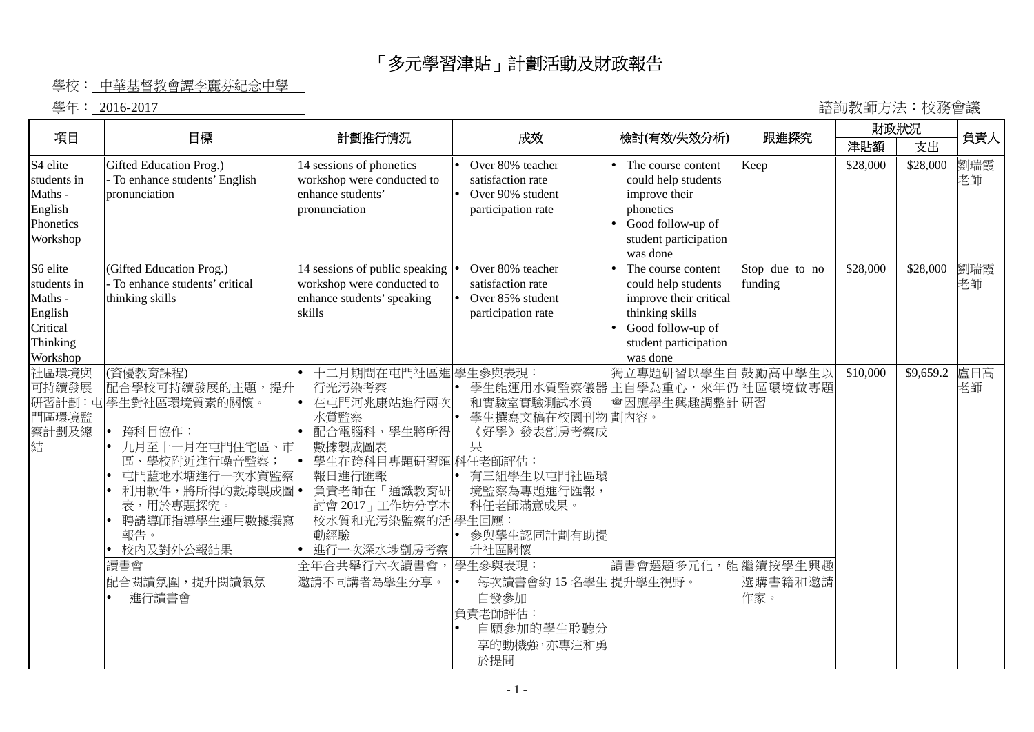## 「多元學習津貼」計劃活動及財政報告

## 學校: 中華基督教會譚李麗芬紀念中學

學年: 2016-2017 諮詢教師方法︰校務會議

|                                                                                    | 目標                                                                                                                                                                                                            |                                                                                                                                                                                                                                               |                                                                                                                                                                        |                                                                                                                                                  |                           | 財政狀況     |           |           |  |
|------------------------------------------------------------------------------------|---------------------------------------------------------------------------------------------------------------------------------------------------------------------------------------------------------------|-----------------------------------------------------------------------------------------------------------------------------------------------------------------------------------------------------------------------------------------------|------------------------------------------------------------------------------------------------------------------------------------------------------------------------|--------------------------------------------------------------------------------------------------------------------------------------------------|---------------------------|----------|-----------|-----------|--|
| 項目                                                                                 |                                                                                                                                                                                                               | 計劃推行情況                                                                                                                                                                                                                                        | 成效                                                                                                                                                                     | 檢討(有效/失效分析)                                                                                                                                      | 跟進探究                      | 津貼額      | 支出        | 負責人       |  |
| S <sub>4</sub> elite<br>students in<br>Maths -<br>English<br>Phonetics<br>Workshop | Gifted Education Prog.)<br>- To enhance students' English<br>pronunciation                                                                                                                                    | 14 sessions of phonetics<br>workshop were conducted to<br>enhance students'<br>pronunciation                                                                                                                                                  | Over 80% teacher<br>satisfaction rate<br>Over 90% student<br>participation rate                                                                                        | The course content<br>could help students<br>improve their<br>phonetics<br>Good follow-up of<br>student participation<br>was done                | Keep                      | \$28,000 | \$28,000  | 劉瑞霞<br>老師 |  |
| S6 elite<br>students in<br>Maths -<br>English<br>Critical<br>Thinking<br>Workshop  | (Gifted Education Prog.)<br>- To enhance students' critical<br>thinking skills                                                                                                                                | 14 sessions of public speaking<br>workshop were conducted to<br>enhance students' speaking<br>skills                                                                                                                                          | Over 80% teacher<br>satisfaction rate<br>Over 85% student<br>participation rate                                                                                        | The course content<br>could help students<br>improve their critical<br>thinking skills<br>Good follow-up of<br>student participation<br>was done | Stop due to no<br>funding | \$28,000 | \$28,000  | 劉瑞霞<br>老師 |  |
| 社區環境與<br>可持續發展<br>研習計劃:屯<br>門區環境監<br>察計劃及總<br>結                                    | (資優教育課程)<br>配合學校可持續發展的主題,提升<br>學生對社區環境質素的關懷。<br>跨科目協作;<br>九月至十一月在屯門住宅區、市<br>區<br>、學校附近進行噪音監察<br>屯門藍地水塘進行一次水質監察<br>利用軟件,將所得的數據製成圖 •<br>表,用於專題探究。<br>聘請導師指導學生運用數據撰寫<br>報告。<br>校内及對外公報結果<br>讀書會<br>配合閱讀氛圍,提升閱讀氣氛 | 十二月期間在屯門社區進 學生參與表現:<br>行光污染考察<br>在屯門河兆康站進行兩次<br>$\bullet$<br>水質監察<br>配合電腦科,學生將所得<br>數據製成圖表<br>學生在跨科目專題研習匯 科任老師評估:<br>I۰<br>報日進行匯報<br>負責老師在「通識教育研<br>討會 2017」工作坊分享本<br>校水質和光污染監察的活 學生回應:<br>動經驗<br>進行一次深水埗劏房考察<br>全年合共舉行六次讀書會,<br>邀請不同講者為學生分享。 | 學生能運用水質監察儀器<br>和實驗室實驗測試水質<br>學生撰寫文稿在校園刊物劃內容。<br>《好學》發表劏房考察成<br>果<br>有三組學生以屯門社區環<br>境監察為專題進行匯報<br>科任老師滿意成果。<br>參與學生認同計劃有助提<br>升社區關懷<br>學生參與表現:<br>每次讀書會約 15 名學生 提升學生視野。 | 獨立專題研習以學生自<br>主自學為重心,來年仍社區環境做專題<br>會因應學生興趣調整計研習<br>讀書會選題多元化,能繼續按學生興趣                                                                             | 鼓勵高中學生以<br>選購書籍和邀請        | \$10,000 | \$9,659.2 | 盧日高<br>老師 |  |
|                                                                                    | 進行讀書會                                                                                                                                                                                                         |                                                                                                                                                                                                                                               | 自發參加<br>負責老師評估:<br>自願參加的學生聆聽分<br>享的動機強,亦專注和勇<br>於提問                                                                                                                    |                                                                                                                                                  | 作家。                       |          |           |           |  |